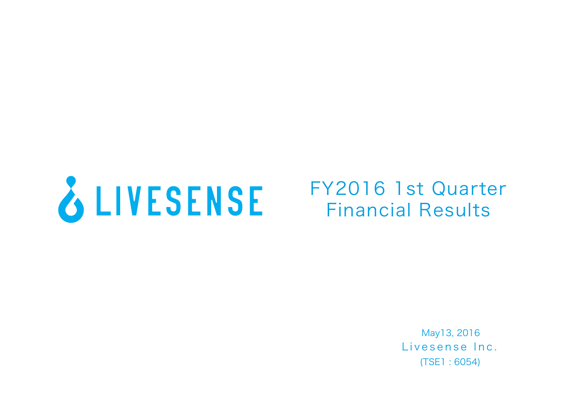

# FY2016 1st Quarter Financial Results

Livesense Inc. (TSE1 : 6054) May13, 2016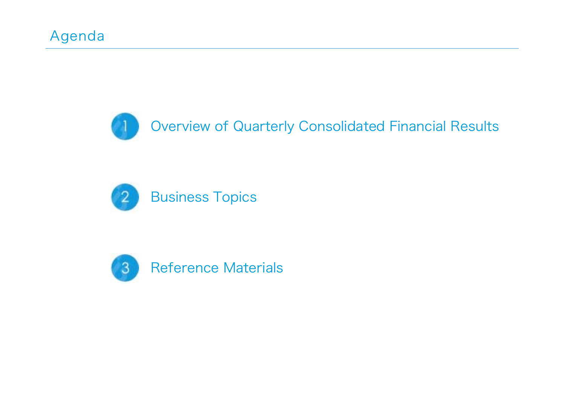



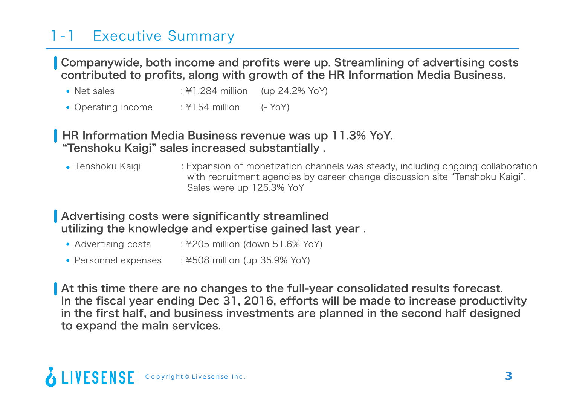## 1-1 Executive Summary

Companywide, both income and profits were up. Streamlining of advertising costs contributed to profits, along with growth of the HR Information Media Business.

- Net sales : ¥1,284 million (up 24.2% YoY)
- Operating income : ¥154 million (- YoY)

#### **HR Information Media Business revenue was up 11.3% YoY.** "Tenshoku Kaigi" sales increased substantially .

• Tenshoku Kaigi : Expansion of monetization channels was steady, including ongoing collaboration with recruitment agencies by career change discussion site "Tenshoku Kaigi". Sales were up 125.3% YoY

#### Advertising costs were significantly streamlined utilizing the knowledge and expertise gained last year .

- Advertising costs : ¥205 million (down 51.6% YoY)
- Personnel expenses : ¥508 million (up 35.9% YoY)

At this time there are no changes to the full-year consolidated results forecast. In the fiscal year ending Dec 31, 2016, efforts will be made to increase productivity in the first half, and business investments are planned in the second half designed to expand the main services.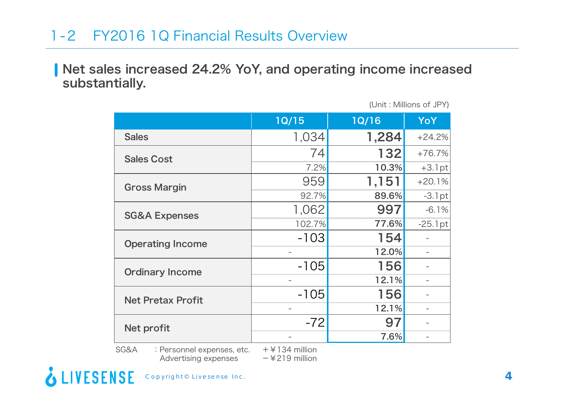### 1-2 FY2016 1Q Financial Results Overview

Net sales increased 24.2% YoY, and operating income increased substantially.

(Unit : Millions of JPY)

|                          | 1Q/15  | <b>1Q/16</b> | YoY        |
|--------------------------|--------|--------------|------------|
| <b>Sales</b>             | 1,034  | 1,284        | $+24.2%$   |
| <b>Sales Cost</b>        | 74     | 132          | $+76.7%$   |
|                          | 7.2%   | 10.3%        | $+3.1$ pt  |
| <b>Gross Margin</b>      | 959    | 1,151        | $+20.1%$   |
|                          | 92.7%  | 89.6%        | $-3.1$ pt  |
| <b>SG&amp;A Expenses</b> | 1,062  | 997          | $-6.1%$    |
|                          | 102.7% | 77.6%        | $-25.1$ pt |
| <b>Operating Income</b>  | $-103$ | 154          |            |
|                          |        | 12.0%        |            |
| <b>Ordinary Income</b>   | $-105$ | 156          |            |
|                          |        | 12.1%        |            |
| <b>Net Pretax Profit</b> | $-105$ | 156          |            |
|                          |        | 12.1%        |            |
| Net profit               | $-72$  | 97           |            |
|                          |        | 7.6%         |            |

SG&A : Personnel expenses, etc. +¥134 million<br>Advertising expenses + 4219 million Advertising expenses

**LIVESENSE** 

Copyright© Livesense Inc. **4**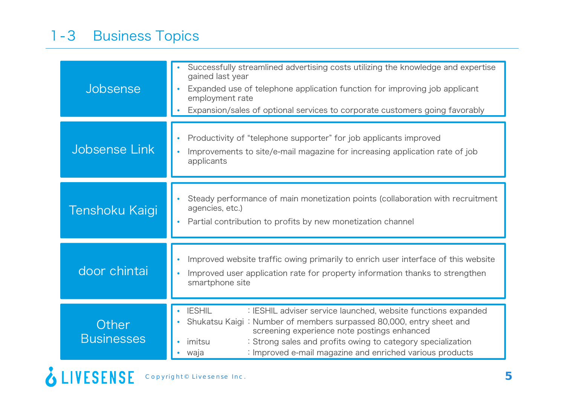| Jobsense                   | Successfully streamlined advertising costs utilizing the knowledge and expertise<br>gained last year<br>Expanded use of telephone application function for improving job applicant<br>employment rate<br>Expansion/sales of optional services to corporate customers going favorably                                                              |  |
|----------------------------|---------------------------------------------------------------------------------------------------------------------------------------------------------------------------------------------------------------------------------------------------------------------------------------------------------------------------------------------------|--|
| Jobsense Link              | Productivity of "telephone supporter" for job applicants improved<br>Improvements to site/e-mail magazine for increasing application rate of job<br>applicants                                                                                                                                                                                    |  |
| Tenshoku Kaigi             | Steady performance of main monetization points (collaboration with recruitment<br>agencies, etc.)<br>Partial contribution to profits by new monetization channel                                                                                                                                                                                  |  |
| door chintai               | Improved website traffic owing primarily to enrich user interface of this website<br>Improved user application rate for property information thanks to strengthen<br>smartphone site                                                                                                                                                              |  |
| Other<br><b>Businesses</b> | <b>IESHIL</b><br>: IESHIL adviser service launched, website functions expanded<br>Shukatsu Kaigi: Number of members surpassed 80,000, entry sheet and<br>screening experience note postings enhanced<br>: Strong sales and profits owing to category specialization<br>imitsu<br>: Improved e-mail magazine and enriched various products<br>waja |  |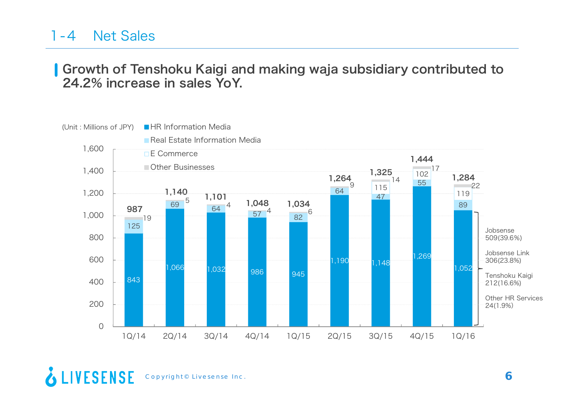#### 1-4Net Sales

### Growth of Tenshoku Kaigi and making waja subsidiary contributed to 24.2% increase in sales YoY.



& LIVESENSE Copyright© Livesense Inc. **6**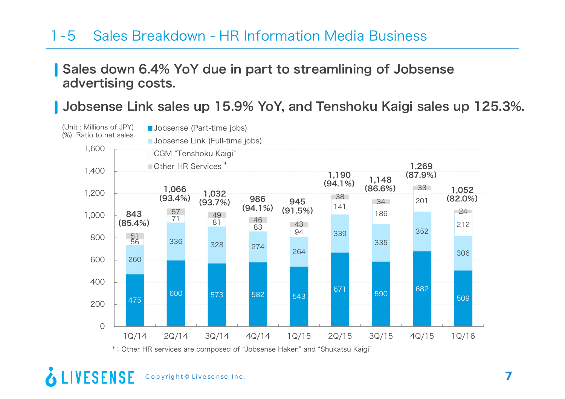### 1-5 Sales Breakdown - HR Information Media Business

### Sales down 6.4% YoY due in part to streamlining of Jobsense advertising costs.

Jobsense Link sales up 15.9% YoY, and Tenshoku Kaigi sales up 125.3%.



LIVESENSE Copyright© Livesense Inc. **7**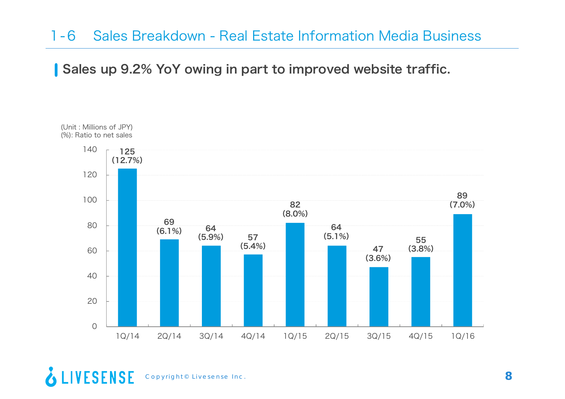### 1-6 Sales Breakdown - Real Estate Information Media Business

Sales up 9.2% YoY owing in part to improved website traffic.



& LIVESENSE Copyright© Livesense Inc. **8**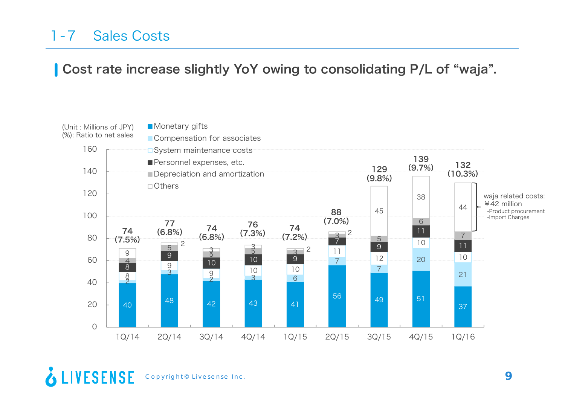#### 1-7Sales Costs

### Cost rate increase slightly YoY owing to consolidating P/L of "waja".

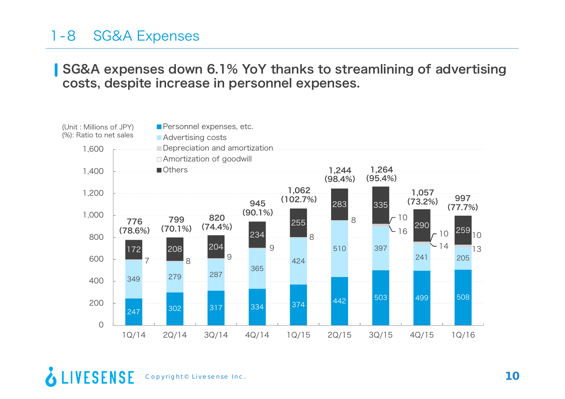### 1-8 SG&A Expenses

#### SG&A expenses down 6.1% YoY thanks to streamlining of advertising costs, despite increase in personnel expenses.

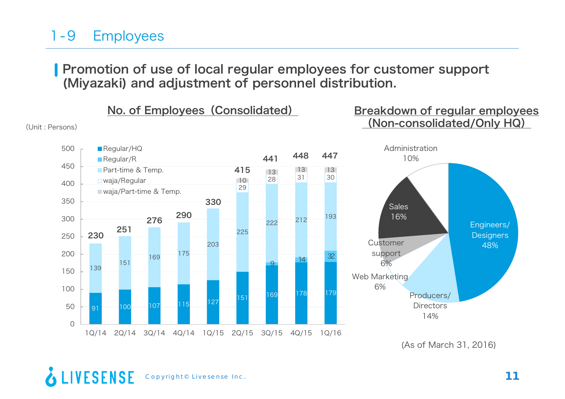## 1-9 Employees

Promotion of use of local regular employees for customer support (Miyazaki) and adjustment of personnel distribution.



<sup>(</sup>As of March 31, 2016)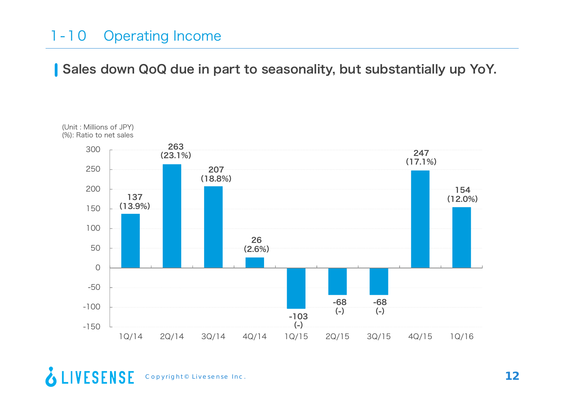### 1-10 Operating Income

Sales down QoQ due in part to seasonality, but substantially up YoY.



& LIVESENSE Copyright<sup>©</sup> Livesense Inc.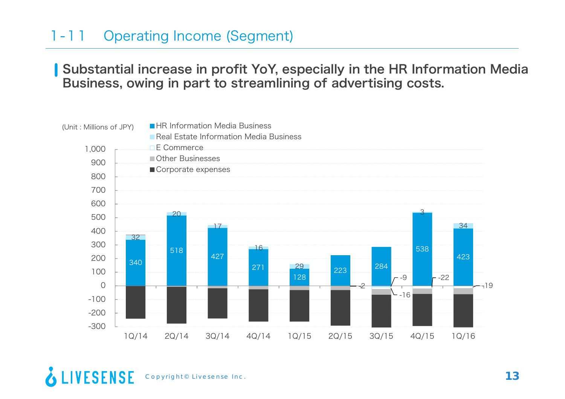#### 1-11Operating Income (Segment)

### Substantial increase in profit YoY, especially in the HR Information Media Business, owing in part to streamlining of advertising costs.

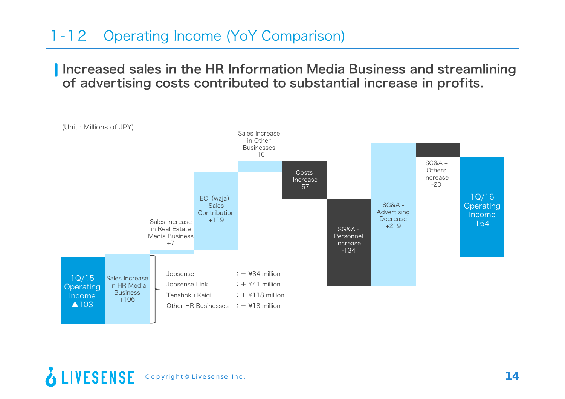### 1-12 Operating Income (YoY Comparison)

Increased sales in the HR Information Media Business and streamlining of advertising costs contributed to substantial increase in profits.



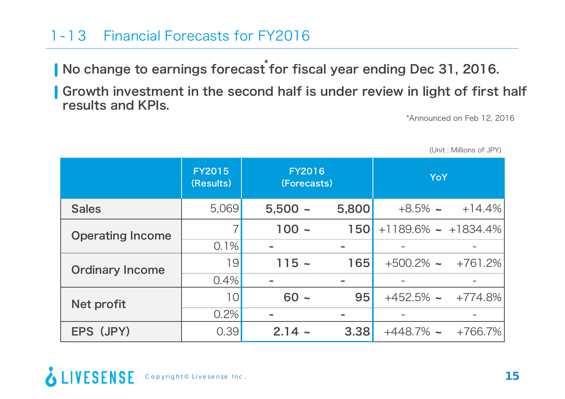### 1-13 Financial Forecasts for FY2016

No change to earnings forecast ٌfor fiscal year ending Dec 31, 2016.

Growth investment in the second half is under review in light of first half results and KPIs.

\*Announced on Feb 12, 2016

|                         | <b>FY2015</b><br>(Results) | <b>FY2016</b><br>(Forecasts) |            | <b>YoY</b>                     |                           |
|-------------------------|----------------------------|------------------------------|------------|--------------------------------|---------------------------|
| <b>Sales</b>            | 5,069                      | $5,500 -$                    | 5,800      |                                | $+8.5\%$ $\sim$ $+14.4\%$ |
| <b>Operating Income</b> |                            | $100 -$                      | <b>150</b> | $+1189.6\%$ $\sim$ $+1834.4\%$ |                           |
|                         | 0.1%                       |                              |            |                                |                           |
| <b>Ordinary Income</b>  | 19                         | $115 -$                      | 165        | $+500.2\%$ ~                   | +761.2%                   |
|                         | 0.4%                       |                              |            |                                |                           |
| Net profit              | 10                         | $60 -$                       | 95         | $+452.5\%$ $\sim$ $+774.8\%$   |                           |
|                         | 0.2%                       | $\equiv$                     |            |                                |                           |
| EPS (JPY)               | 0.39                       | $2.14 -$                     | 3.38       | $+448.7\%$ ~                   | +766.7%                   |

(Unit : Millions of JPY)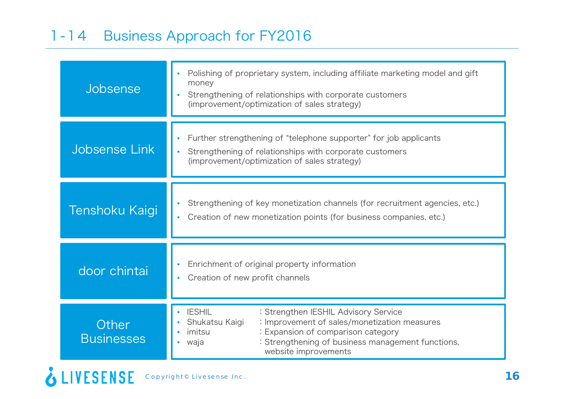### 1-14 Business Approach for FY2016

| Jobsense                   | Polishing of proprietary system, including affiliate marketing model and gift<br>money<br>Strengthening of relationships with corporate customers<br>(improvement/optimization of sales strategy)                                                            |  |  |
|----------------------------|--------------------------------------------------------------------------------------------------------------------------------------------------------------------------------------------------------------------------------------------------------------|--|--|
| Jobsense Link              | Further strengthening of "telephone supporter" for job applicants<br>Strengthening of relationships with corporate customers<br>(improvement/optimization of sales strategy)                                                                                 |  |  |
| Tenshoku Kaigi             | Strengthening of key monetization channels (for recruitment agencies, etc.)<br>Creation of new monetization points (for business companies, etc.)                                                                                                            |  |  |
| door chintai               | Enrichment of original property information<br>Creation of new profit channels                                                                                                                                                                               |  |  |
| Other<br><b>Businesses</b> | <b>IESHIL</b><br>: Strengthen IESHIL Advisory Service<br>: Improvement of sales/monetization measures<br>Shukatsu Kaigi<br>imitsu<br>: Expansion of comparison category<br>: Strengthening of business management functions,<br>waja<br>website improvements |  |  |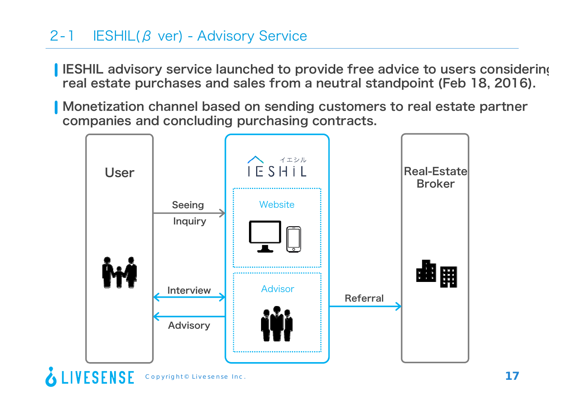## 2-1 IESHIL(β ver) - Advisory Service

- IESHIL advisory service launched to provide free advice to users considering real estate purchases and sales from a neutral standpoint (Feb 18, 2016).
- Monetization channel based on sending customers to real estate partner companies and concluding purchasing contracts.

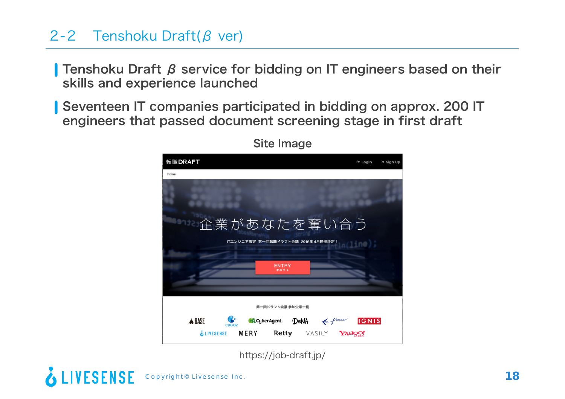### 2-2 Tenshoku Draft(β ver)

Tenshoku Draft β service for bidding on IT engineers based on their skills and experience launched

Seventeen IT companies participated in bidding on approx. 200 IT engineers that passed document screening stage in first draft



Site Image

https://job-draft.jp/

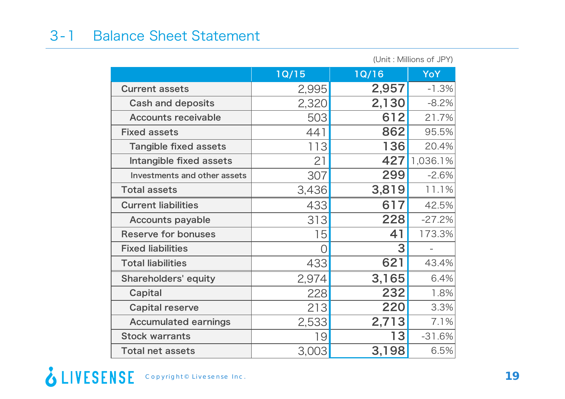### 3-1 Balance Sheet Statement

|                                     | (Unit: Millions of JPY) |              |          |
|-------------------------------------|-------------------------|--------------|----------|
|                                     | 1Q/15                   | <b>1Q/16</b> | YoY      |
| <b>Current assets</b>               | 2,995                   | 2,957        | $-1.3%$  |
| <b>Cash and deposits</b>            | 2,320                   | 2,130        | $-8.2%$  |
| <b>Accounts receivable</b>          | 503                     | 612          | 21.7%    |
| <b>Fixed assets</b>                 | 441                     | 862          | 95.5%    |
| <b>Tangible fixed assets</b>        | 113                     | 136          | 20.4%    |
| Intangible fixed assets             | 21                      | 427          | 1,036.1% |
| <b>Investments and other assets</b> | 307                     | 299          | $-2.6%$  |
| <b>Total assets</b>                 | 3,436                   | 3,819        | 11.1%    |
| <b>Current liabilities</b>          | 433                     | 617          | 42.5%    |
| <b>Accounts payable</b>             | 313                     | 228          | $-27.2%$ |
| <b>Reserve for bonuses</b>          | 15                      | 41           | 173.3%   |
| <b>Fixed liabilities</b>            | Ω                       | 3            |          |
| <b>Total liabilities</b>            | 433                     | 621          | 43.4%    |
| <b>Shareholders' equity</b>         | 2,974                   | 3,165        | 6.4%     |
| Capital                             | 228                     | 232          | 1.8%     |
| <b>Capital reserve</b>              | 213                     | 220          | 3.3%     |
| <b>Accumulated earnings</b>         | 2,533                   | 2,713        | 7.1%     |
| <b>Stock warrants</b>               | 19                      | 13           | $-31.6%$ |
| <b>Total net assets</b>             | 3,003                   | 3,198        | 6.5%     |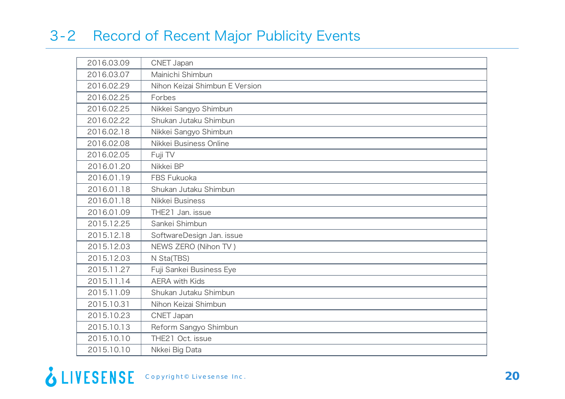## 3-2 Record of Recent Major Publicity Events

| 2016.03.09 | CNET Japan                     |
|------------|--------------------------------|
| 2016.03.07 | Mainichi Shimbun               |
| 2016.02.29 | Nihon Keizai Shimbun E Version |
| 2016.02.25 | Forbes                         |
| 2016.02.25 | Nikkei Sangyo Shimbun          |
| 2016.02.22 | Shukan Jutaku Shimbun          |
| 2016.02.18 | Nikkei Sangyo Shimbun          |
| 2016.02.08 | Nikkei Business Online         |
| 2016.02.05 | Fuji TV                        |
| 2016.01.20 | Nikkei BP                      |
| 2016.01.19 | FBS Fukuoka                    |
| 2016.01.18 | Shukan Jutaku Shimbun          |
| 2016.01.18 | Nikkei Business                |
| 2016.01.09 | THE21 Jan. issue               |
| 2015.12.25 | Sankei Shimbun                 |
| 2015.12.18 | SoftwareDesign Jan. issue      |
| 2015.12.03 | NEWS ZERO (Nihon TV)           |
| 2015.12.03 | N Sta(TBS)                     |
| 2015.11.27 | Fuji Sankei Business Eye       |
| 2015.11.14 | <b>AERA with Kids</b>          |
| 2015.11.09 | Shukan Jutaku Shimbun          |
| 2015.10.31 | Nihon Keizai Shimbun           |
| 2015.10.23 | CNET Japan                     |
| 2015.10.13 | Reform Sangyo Shimbun          |
| 2015.10.10 | THE21 Oct. issue               |
| 2015.10.10 | Nkkei Big Data                 |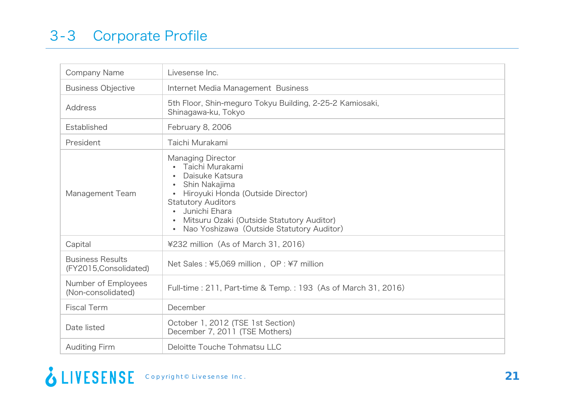| <b>Company Name</b>                               | Livesense Inc.                                                                                                                                                                                                                                                                         |
|---------------------------------------------------|----------------------------------------------------------------------------------------------------------------------------------------------------------------------------------------------------------------------------------------------------------------------------------------|
| <b>Business Objective</b>                         | Internet Media Management Business                                                                                                                                                                                                                                                     |
| <b>Address</b>                                    | 5th Floor, Shin-meguro Tokyu Building, 2-25-2 Kamiosaki,<br>Shinagawa-ku, Tokyo                                                                                                                                                                                                        |
| Established                                       | February 8, 2006                                                                                                                                                                                                                                                                       |
| President                                         | Taichi Murakami                                                                                                                                                                                                                                                                        |
| Management Team                                   | <b>Managing Director</b><br>Taichi Murakami<br>Daisuke Katsura<br>Shin Nakajima<br>Hiroyuki Honda (Outside Director)<br>$\bullet$<br><b>Statutory Auditors</b><br>Junichi Ehara<br>Mitsuru Ozaki (Outside Statutory Auditor)<br>Nao Yoshizawa (Outside Statutory Auditor)<br>$\bullet$ |
| Capital                                           | ¥232 million (As of March 31, 2016)                                                                                                                                                                                                                                                    |
| <b>Business Results</b><br>(FY2015, Consolidated) | Net Sales: ¥5,069 million, OP: ¥7 million                                                                                                                                                                                                                                              |
| Number of Employees<br>(Non-consolidated)         | Full-time: 211, Part-time & Temp.: 193 (As of March 31, 2016)                                                                                                                                                                                                                          |
| <b>Fiscal Term</b>                                | December                                                                                                                                                                                                                                                                               |
| Date listed                                       | October 1, 2012 (TSE 1st Section)<br>December 7, 2011 (TSE Mothers)                                                                                                                                                                                                                    |
| <b>Auditing Firm</b>                              | Deloitte Touche Tohmatsu LLC                                                                                                                                                                                                                                                           |